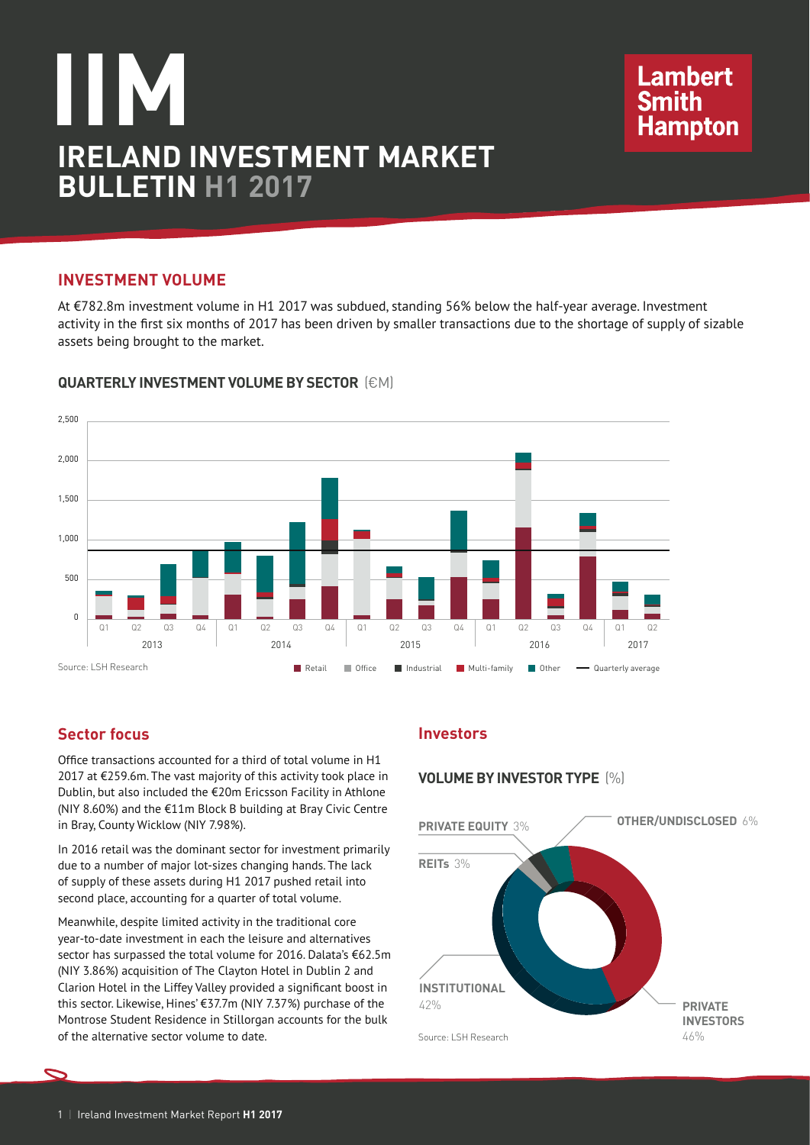# **IIM IRELAND INVESTMENT MARKET BULLETIN H1 2017**

# **Investment volume**

At €782.8m investment volume in H1 2017 was subdued, standing 56% below the half-year average. Investment activity in the first six months of 2017 has been driven by smaller transactions due to the shortage of supply of sizable assets being brought to the market.



# **QUARTERLY INVESTMENT VOLUME BY SECTOR** (€M)

# **Sector focus**

Office transactions accounted for a third of total volume in H1 2017 at €259.6m. The vast majority of this activity took place in Dublin, but also included the €20m Ericsson Facility in Athlone (NIY 8.60%) and the €11m Block B building at Bray Civic Centre in Bray, County Wicklow (NIY 7.98%).

In 2016 retail was the dominant sector for investment primarily due to a number of major lot-sizes changing hands. The lack of supply of these assets during H1 2017 pushed retail into second place, accounting for a quarter of total volume.

Meanwhile, despite limited activity in the traditional core year-to-date investment in each the leisure and alternatives sector has surpassed the total volume for 2016. Dalata's €62.5m (NIY 3.86%) acquisition of The Clayton Hotel in Dublin 2 and Clarion Hotel in the Liffey Valley provided a significant boost in this sector. Likewise, Hines' €37.7m (NIY 7.37%) purchase of the Montrose Student Residence in Stillorgan accounts for the bulk of the alternative sector volume to date.

# **Investors**

## **VOLUME BY INVESTOR TYPE** (%)



**Lambert** 

Smith<br>Hampton